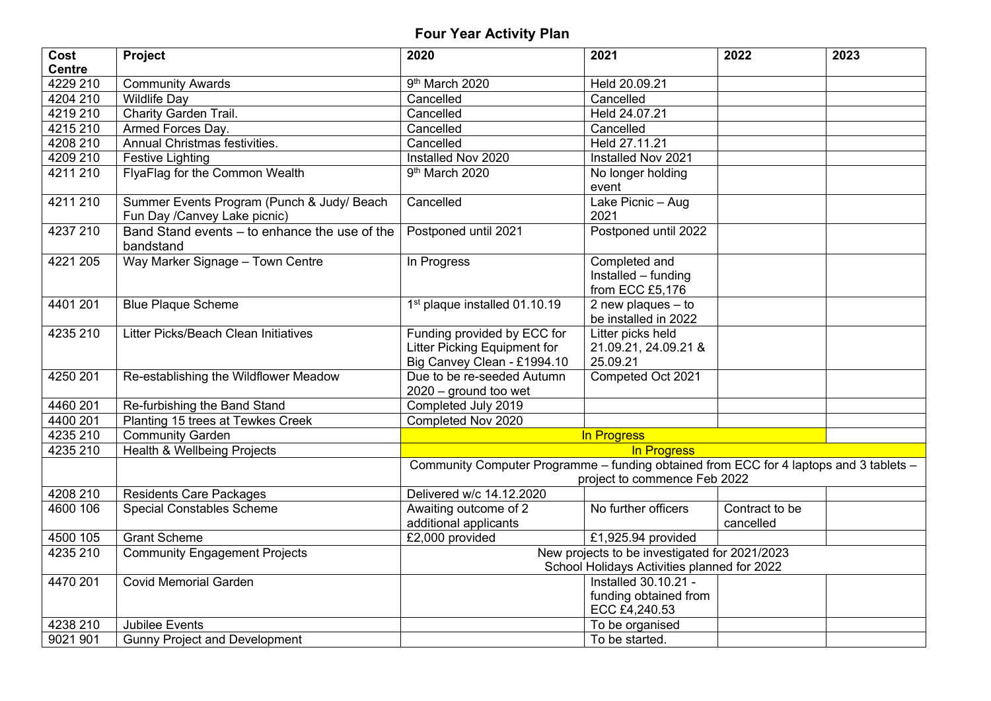## **Four Year Activity Plan**

| Cost          | Project                                                                    | 2020                                                                                                                   | 2021                                                           | 2022                        | 2023 |
|---------------|----------------------------------------------------------------------------|------------------------------------------------------------------------------------------------------------------------|----------------------------------------------------------------|-----------------------------|------|
| <b>Centre</b> |                                                                            |                                                                                                                        |                                                                |                             |      |
| 4229 210      | Community Awards                                                           | 9 <sup>th</sup> March 2020                                                                                             | Held 20.09.21                                                  |                             |      |
| 4204 210      | <b>Wildlife Day</b>                                                        | Cancelled                                                                                                              | Cancelled                                                      |                             |      |
| 4219 210      | Charity Garden Trail.                                                      | Cancelled                                                                                                              | Held 24.07.21                                                  |                             |      |
| 4215 210      | Armed Forces Day.                                                          | Cancelled                                                                                                              | Cancelled                                                      |                             |      |
| 4208 210      | Annual Christmas festivities.                                              | Cancelled                                                                                                              | Held 27.11.21                                                  |                             |      |
| 4209 210      | <b>Festive Lighting</b>                                                    | Installed Nov 2020                                                                                                     | Installed Nov 2021                                             |                             |      |
| 4211 210      | FlyaFlag for the Common Wealth                                             | 9 <sup>th</sup> March 2020                                                                                             | No longer holding<br>event                                     |                             |      |
| 4211 210      | Summer Events Program (Punch & Judy/ Beach<br>Fun Day /Canvey Lake picnic) | Cancelled                                                                                                              | Lake Picnic - Aug<br>2021                                      |                             |      |
| 4237 210      | Band Stand events - to enhance the use of the<br>bandstand                 | Postponed until 2021                                                                                                   | Postponed until 2022                                           |                             |      |
| 4221 205      | Way Marker Signage - Town Centre                                           | In Progress                                                                                                            | Completed and<br>Installed - funding<br>from ECC £5,176        |                             |      |
| 4401 201      | <b>Blue Plaque Scheme</b>                                                  | 1 <sup>st</sup> plaque installed 01.10.19                                                                              | 2 new plaques $-$ to<br>be installed in 2022                   |                             |      |
| 4235 210      | Litter Picks/Beach Clean Initiatives                                       | Funding provided by ECC for<br>Litter Picking Equipment for<br>Big Canvey Clean - £1994.10                             | Litter picks held<br>21.09.21, 24.09.21 &<br>25.09.21          |                             |      |
| 4250 201      | Re-establishing the Wildflower Meadow                                      | Due to be re-seeded Autumn<br>$2020 -$ ground too wet                                                                  | Competed Oct 2021                                              |                             |      |
| 4460 201      | Re-furbishing the Band Stand                                               | Completed July 2019                                                                                                    |                                                                |                             |      |
| 4400 201      | Planting 15 trees at Tewkes Creek                                          | Completed Nov 2020                                                                                                     |                                                                |                             |      |
| 4235210       | <b>Community Garden</b>                                                    | In Progress                                                                                                            |                                                                |                             |      |
| 4235 210      | Health & Wellbeing Projects                                                | In Progress                                                                                                            |                                                                |                             |      |
|               |                                                                            | Community Computer Programme - funding obtained from ECC for 4 laptops and 3 tablets -<br>project to commence Feb 2022 |                                                                |                             |      |
| 4208 210      | <b>Residents Care Packages</b>                                             | Delivered w/c 14.12.2020                                                                                               |                                                                |                             |      |
| 4600 106      | <b>Special Constables Scheme</b>                                           | Awaiting outcome of 2<br>additional applicants                                                                         | No further officers                                            | Contract to be<br>cancelled |      |
| 4500 105      | <b>Grant Scheme</b>                                                        | £2,000 provided                                                                                                        | £1,925.94 provided                                             |                             |      |
| 4235 210      | <b>Community Engagement Projects</b>                                       | New projects to be investigated for 2021/2023<br>School Holidays Activities planned for 2022                           |                                                                |                             |      |
| 4470 201      | <b>Covid Memorial Garden</b>                                               |                                                                                                                        | Installed 30.10.21 -<br>funding obtained from<br>ECC £4,240.53 |                             |      |
| 4238 210      | <b>Jubilee Events</b>                                                      |                                                                                                                        | To be organised                                                |                             |      |
| 9021 901      | <b>Gunny Project and Development</b>                                       |                                                                                                                        | To be started.                                                 |                             |      |